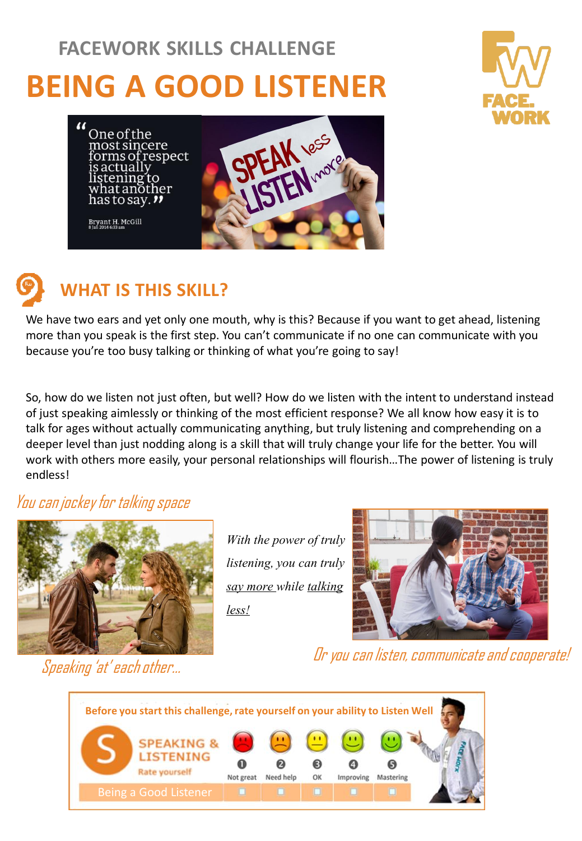# **BEING A GOOD LISTENER FACEWORK SKILLS CHALLENGE**







### **WHAT IS THIS SKILL?**

We have two ears and yet only one mouth, why is this? Because if you want to get ahead, listening more than you speak is the first step. You can't communicate if no one can communicate with you because you're too busy talking or thinking of what you're going to say!

So, how do we listen not just often, but well? How do we listen with the intent to understand instead of just speaking aimlessly or thinking of the most efficient response? We all know how easy it is to talk for ages without actually communicating anything, but truly listening and comprehending on a deeper level than just nodding along is a skill that will truly change your life for the better. You will work with others more easily, your personal relationships will flourish…The power of listening is truly endless!

#### You can jockey for talking space



*With the power of truly listening, you can truly say more while talking less!*



Or you can listen, communicate and cooperate!



Speaking 'at' each other…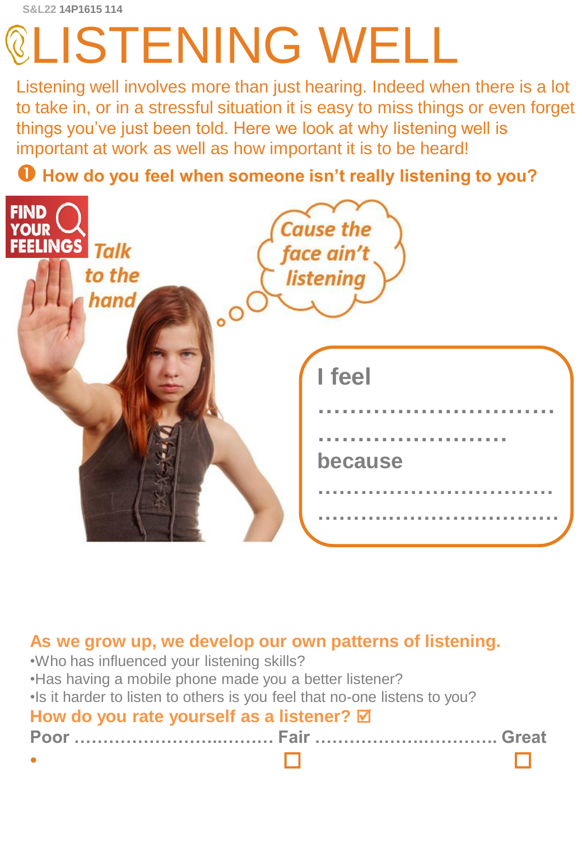# LISTENING WELL

Listening well involves more than just hearing. Indeed when there is a lot to take in, or in a stressful situation it is easy to miss things or even forget things you've just been told. Here we look at why listening well is important at work as well as how important it is to be heard!

**How do you feel when someone isn't really listening to you?**



#### **As we grow up, we develop our own patterns of listening.**

| .Who has influenced your listening skills?                                 |  |
|----------------------------------------------------------------------------|--|
| . Has having a mobile phone made you a better listener?                    |  |
| . Is it harder to listen to others is you feel that no-one listens to you? |  |
| How do you rate yourself as a listener? $\boxtimes$                        |  |
|                                                                            |  |
|                                                                            |  |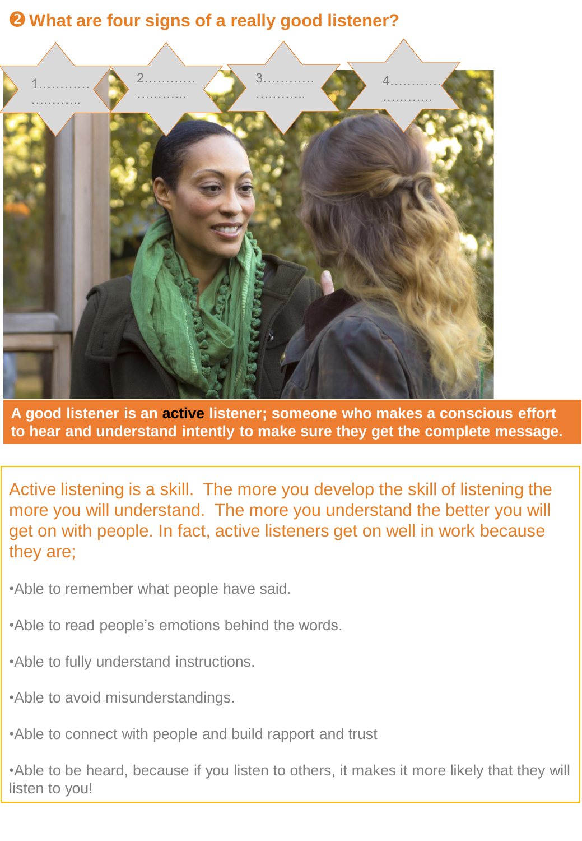#### **What are four signs of a really good listener?**



**A good listener is an active listener; someone who makes a conscious effort to hear and understand intently to make sure they get the complete message.**

Active listening is a skill. The more you develop the skill of listening the more you will understand. The more you understand the better you will get on with people. In fact, active listeners get on well in work because they are;

•Able to remember what people have said.

- •Able to read people's emotions behind the words.
- •Able to fully understand instructions.
- •Able to avoid misunderstandings.
- •Able to connect with people and build rapport and trust

•Able to be heard, because if you listen to others, it makes it more likely that they will listen to you!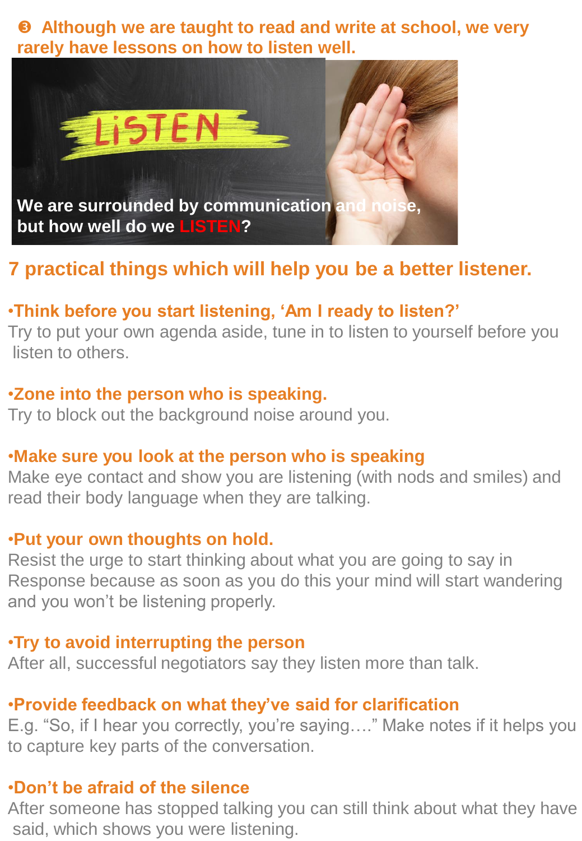**Although we are taught to read and write at school, we very rarely have lessons on how to listen well.** 



# **7 practical things which will help you be a better listener.**

#### •**Think before you start listening, 'Am I ready to listen?'**

Try to put your own agenda aside, tune in to listen to yourself before you listen to others.

#### •**Zone into the person who is speaking.**

Try to block out the background noise around you.

#### •**Make sure you look at the person who is speaking**

Make eye contact and show you are listening (with nods and smiles) and read their body language when they are talking.

#### •**Put your own thoughts on hold.**

Resist the urge to start thinking about what you are going to say in Response because as soon as you do this your mind will start wandering and you won't be listening properly.

#### •**Try to avoid interrupting the person**

After all, successful negotiators say they listen more than talk.

#### •**Provide feedback on what they've said for clarification**

E.g. "So, if I hear you correctly, you're saying…." Make notes if it helps you to capture key parts of the conversation.

#### •**Don't be afraid of the silence**

After someone has stopped talking you can still think about what they have said, which shows you were listening.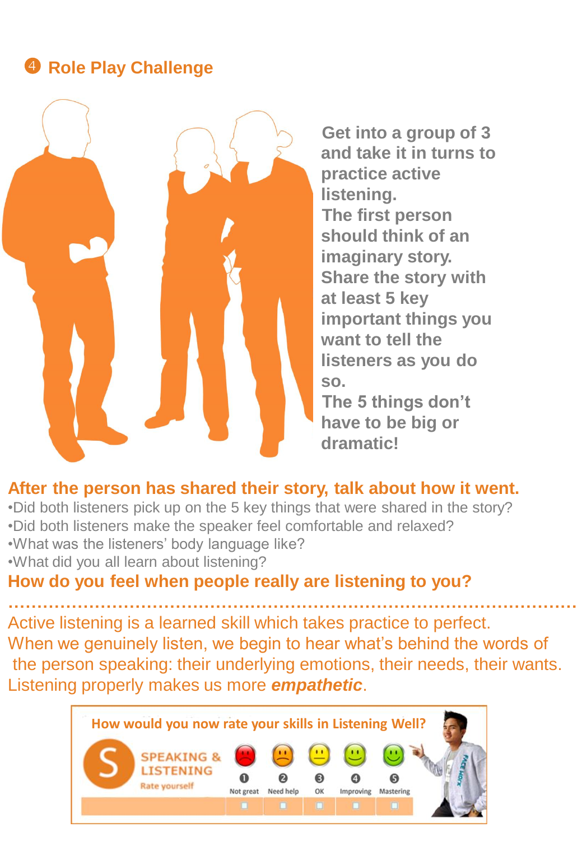#### **4 Role Play Challenge**



**Get into a group of 3 and take it in turns to practice active listening. The first person should think of an imaginary story. Share the story with at least 5 key important things you want to tell the listeners as you do so.** 

**The 5 things don't have to be big or dramatic!** 

#### **After the person has shared their story, talk about how it went.**

- •Did both listeners pick up on the 5 key things that were shared in the story?
- •Did both listeners make the speaker feel comfortable and relaxed?
- •What was the listeners' body language like?
- •What did you all learn about listening?

#### **How do you feel when people really are listening to you?**

**………………………………………………………………………………………** Active listening is a learned skill which takes practice to perfect. When we genuinely listen, we begin to hear what's behind the words of the person speaking: their underlying emotions, their needs, their wants. Listening properly makes us more *empathetic*.

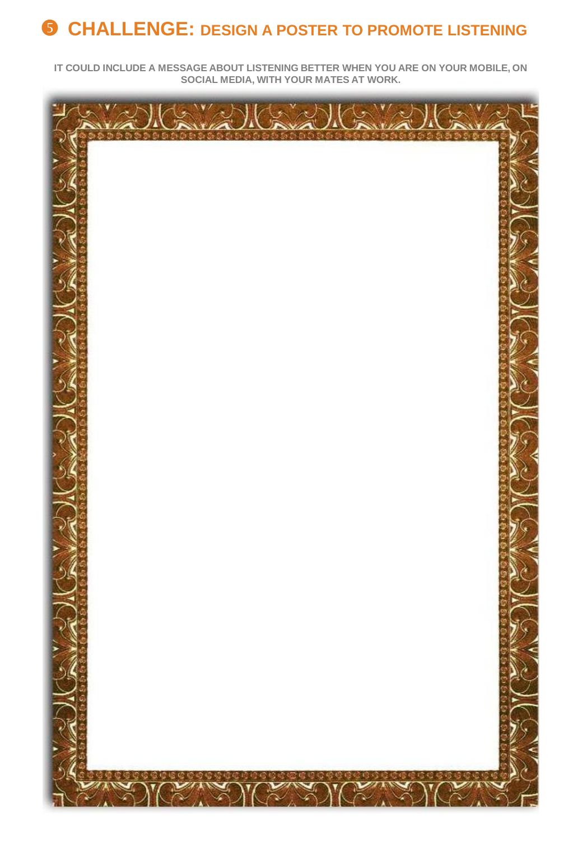# **CHALLENGE: DESIGN A POSTER TO PROMOTE LISTENING**

**IT COULD INCLUDE A MESSAGE ABOUT LISTENING BETTER WHEN YOU ARE ON YOUR MOBILE, ON SOCIAL MEDIA, WITH YOUR MATES AT WORK.**